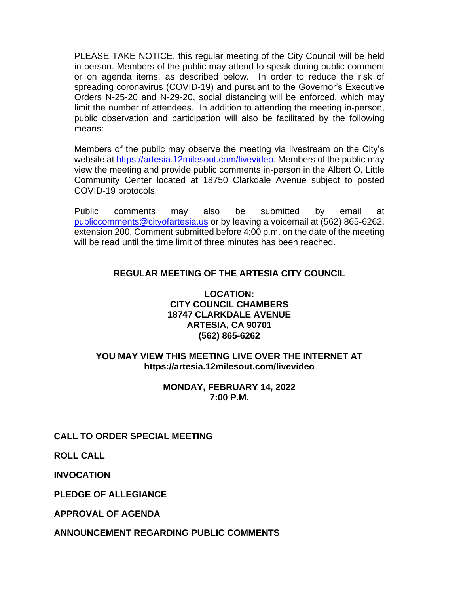PLEASE TAKE NOTICE, this regular meeting of the City Council will be held in-person. Members of the public may attend to speak during public comment or on agenda items, as described below. In order to reduce the risk of spreading coronavirus (COVID-19) and pursuant to the Governor's Executive Orders N-25-20 and N-29-20, social distancing will be enforced, which may limit the number of attendees. In addition to attending the meeting in-person, public observation and participation will also be facilitated by the following means:

Members of the public may observe the meeting via livestream on the City's website at [https://artesia.12milesout.com/livevideo.](https://artesia.12milesout.com/livevideo) Members of the public may view the meeting and provide public comments in-person in the Albert O. Little Community Center located at 18750 Clarkdale Avenue subject to posted COVID-19 protocols.

Public comments may also be submitted by email at [publiccomments@cityofartesia.us](mailto:publiccomments@cityofartesia.us) or by leaving a voicemail at (562) 865-6262, extension 200. Comment submitted before 4:00 p.m. on the date of the meeting will be read until the time limit of three minutes has been reached.

# **REGULAR MEETING OF THE ARTESIA CITY COUNCIL**

## **LOCATION: CITY COUNCIL CHAMBERS 18747 CLARKDALE AVENUE ARTESIA, CA 90701 (562) 865-6262**

## **YOU MAY VIEW THIS MEETING LIVE OVER THE INTERNET AT https://artesia.12milesout.com/livevideo**

### **MONDAY, FEBRUARY 14, 2022 7:00 P.M.**

# **CALL TO ORDER SPECIAL MEETING**

**ROLL CALL** 

**INVOCATION**

**PLEDGE OF ALLEGIANCE** 

**APPROVAL OF AGENDA** 

**ANNOUNCEMENT REGARDING PUBLIC COMMENTS**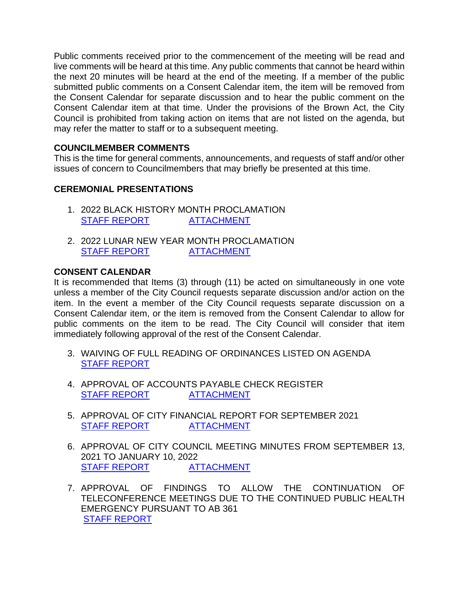Public comments received prior to the commencement of the meeting will be read and live comments will be heard at this time. Any public comments that cannot be heard within the next 20 minutes will be heard at the end of the meeting. If a member of the public submitted public comments on a Consent Calendar item, the item will be removed from the Consent Calendar for separate discussion and to hear the public comment on the Consent Calendar item at that time. Under the provisions of the Brown Act, the City Council is prohibited from taking action on items that are not listed on the agenda, but may refer the matter to staff or to a subsequent meeting.

# **COUNCILMEMBER COMMENTS**

This is the time for general comments, announcements, and requests of staff and/or other issues of concern to Councilmembers that may briefly be presented at this time.

# **CEREMONIAL PRESENTATIONS**

- 1. 2022 BLACK HISTORY MONTH PROCLAMATION [STAFF REPORT](https://www.cityofartesia.us/DocumentCenter/View/5221/1) [ATTACHMENT](https://www.cityofartesia.us/DocumentCenter/View/5220/1---ATTACH)
- 2. 2022 LUNAR NEW YEAR MONTH PROCLAMATION [STAFF REPORT](https://www.cityofartesia.us/DocumentCenter/View/5223/2) [ATTACHMENT](https://www.cityofartesia.us/DocumentCenter/View/5222/2---ATTACH)

# **CONSENT CALENDAR**

It is recommended that Items (3) through (11) be acted on simultaneously in one vote unless a member of the City Council requests separate discussion and/or action on the item. In the event a member of the City Council requests separate discussion on a Consent Calendar item, or the item is removed from the Consent Calendar to allow for public comments on the item to be read. The City Council will consider that item immediately following approval of the rest of the Consent Calendar.

- 3. WAIVING OF FULL READING OF ORDINANCES LISTED ON AGENDA [STAFF REPORT](https://www.cityofartesia.us/DocumentCenter/View/5224/3)
- 4. APPROVAL OF ACCOUNTS PAYABLE CHECK REGISTER [STAFF REPORT](https://www.cityofartesia.us/DocumentCenter/View/5226/4) [ATTACHMENT](https://www.cityofartesia.us/DocumentCenter/View/5225/4---ATTACH)
- 5. APPROVAL OF CITY FINANCIAL REPORT FOR SEPTEMBER 2021 [STAFF REPORT](https://www.cityofartesia.us/DocumentCenter/View/5228/5) [ATTACHMENT](https://www.cityofartesia.us/DocumentCenter/View/5227/5---ATTACH)
- 6. APPROVAL OF CITY COUNCIL MEETING MINUTES FROM SEPTEMBER 13, 2021 TO JANUARY 10, 2022 [STAFF REPORT](https://www.cityofartesia.us/DocumentCenter/View/5230/6) [ATTACHMENT](https://www.cityofartesia.us/DocumentCenter/View/5229/6---ATTACH)
- 7. APPROVAL OF FINDINGS TO ALLOW THE CONTINUATION OF TELECONFERENCE MEETINGS DUE TO THE CONTINUED PUBLIC HEALTH EMERGENCY PURSUANT TO AB 361 [STAFF REPORT](https://www.cityofartesia.us/DocumentCenter/View/5231/7)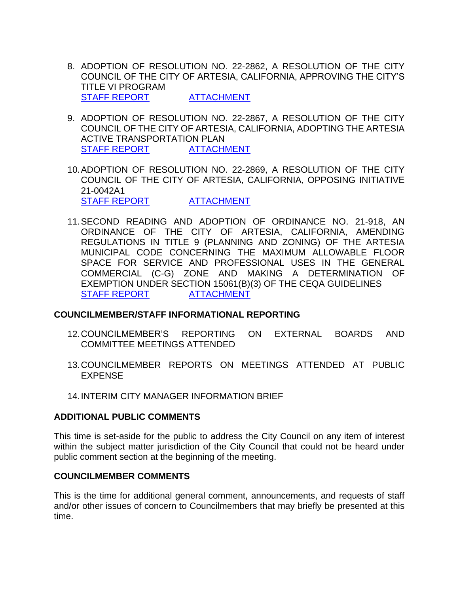- 8. ADOPTION OF RESOLUTION NO. 22-2862, A RESOLUTION OF THE CITY COUNCIL OF THE CITY OF ARTESIA, CALIFORNIA, APPROVING THE CITY'S TITLE VI PROGRAM [STAFF REPORT](https://www.cityofartesia.us/DocumentCenter/View/5233/8) [ATTACHMENT](https://www.cityofartesia.us/DocumentCenter/View/5232/8---ATTACH)
- 9. ADOPTION OF RESOLUTION NO. 22-2867, A RESOLUTION OF THE CITY COUNCIL OF THE CITY OF ARTESIA, CALIFORNIA, ADOPTING THE ARTESIA ACTIVE TRANSPORTATION PLAN [STAFF REPORT](https://www.cityofartesia.us/DocumentCenter/View/5235/9) [ATTACHMENT](https://www.cityofartesia.us/DocumentCenter/View/5234/9---ATTACH)
- 10.ADOPTION OF RESOLUTION NO. 22-2869, A RESOLUTION OF THE CITY COUNCIL OF THE CITY OF ARTESIA, CALIFORNIA, OPPOSING INITIATIVE 21-0042A1 [STAFF REPORT](https://www.cityofartesia.us/DocumentCenter/View/5237/10) [ATTACHMENT](https://www.cityofartesia.us/DocumentCenter/View/5236/10---ATTACH)
- 11.SECOND READING AND ADOPTION OF ORDINANCE NO. 21-918, AN ORDINANCE OF THE CITY OF ARTESIA, CALIFORNIA, AMENDING REGULATIONS IN TITLE 9 (PLANNING AND ZONING) OF THE ARTESIA MUNICIPAL CODE CONCERNING THE MAXIMUM ALLOWABLE FLOOR SPACE FOR SERVICE AND PROFESSIONAL USES IN THE GENERAL COMMERCIAL (C-G) ZONE AND MAKING A DETERMINATION OF EXEMPTION UNDER SECTION 15061(B)(3) OF THE CEQA GUIDELINES [STAFF REPORT](https://www.cityofartesia.us/DocumentCenter/View/5239/11) [ATTACHMENT](https://www.cityofartesia.us/DocumentCenter/View/5238/11---ATTACH)

### **COUNCILMEMBER/STAFF INFORMATIONAL REPORTING**

- 12.COUNCILMEMBER'S REPORTING ON EXTERNAL BOARDS AND COMMITTEE MEETINGS ATTENDED
- 13.COUNCILMEMBER REPORTS ON MEETINGS ATTENDED AT PUBLIC EXPENSE
- 14.INTERIM CITY MANAGER INFORMATION BRIEF

### **ADDITIONAL PUBLIC COMMENTS**

This time is set-aside for the public to address the City Council on any item of interest within the subject matter jurisdiction of the City Council that could not be heard under public comment section at the beginning of the meeting.

### **COUNCILMEMBER COMMENTS**

This is the time for additional general comment, announcements, and requests of staff and/or other issues of concern to Councilmembers that may briefly be presented at this time.